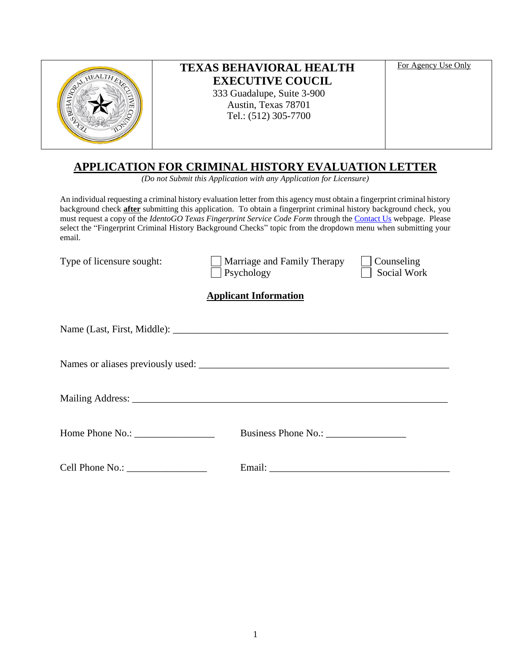| For Agency Use Only<br><b>TEXAS BEHAVIORAL HEALTH</b><br><b>EXECUTIVE COUCIL</b><br>333 Guadalupe, Suite 3-900<br>Austin, Texas 78701<br>Tel.: (512) 305-7700 |
|---------------------------------------------------------------------------------------------------------------------------------------------------------------|
|---------------------------------------------------------------------------------------------------------------------------------------------------------------|

# **APPLICATION FOR CRIMINAL HISTORY EVALUATION LETTER**

*(Do not Submit this Application with any Application for Licensure)*

An individual requesting a criminal history evaluation letter from this agency must obtain a fingerprint criminal history background check **after** submitting this application. To obtain a fingerprint criminal history background check, you must request a copy of the *IdentoGO Texas Fingerprint Service Code Form* through th[e Contact](https://www.bhec.texas.gov/contact-us/index.html) Us webpage. Please select the "Fingerprint Criminal History Background Checks" topic from the dropdown menu when submitting your email.

| Type of licensure sought: | Marriage and Family Therapy<br>Psychology                                                                                       | Counseling<br>Social Work |
|---------------------------|---------------------------------------------------------------------------------------------------------------------------------|---------------------------|
|                           | <b>Applicant Information</b>                                                                                                    |                           |
|                           |                                                                                                                                 |                           |
|                           |                                                                                                                                 |                           |
|                           |                                                                                                                                 |                           |
|                           |                                                                                                                                 |                           |
|                           | Email:<br><u> 1989 - Johann Barn, mars ann an t-Amhain an t-Amhain an t-Amhain an t-Amhain an t-Amhain an t-Amhain an t-Amh</u> |                           |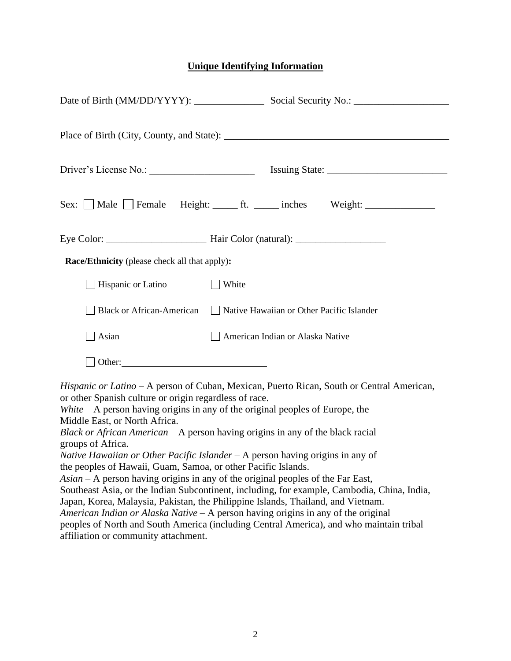## **Unique Identifying Information**

|                                                                                                                                                      | Sex: Male Female Height: ______ ft. ______ inches Weight: ______________________                                                                                                                                                                                                                                                                                                                                                                                                                                                                                                                                                                                                                                                                                                                                                                                           |
|------------------------------------------------------------------------------------------------------------------------------------------------------|----------------------------------------------------------------------------------------------------------------------------------------------------------------------------------------------------------------------------------------------------------------------------------------------------------------------------------------------------------------------------------------------------------------------------------------------------------------------------------------------------------------------------------------------------------------------------------------------------------------------------------------------------------------------------------------------------------------------------------------------------------------------------------------------------------------------------------------------------------------------------|
|                                                                                                                                                      |                                                                                                                                                                                                                                                                                                                                                                                                                                                                                                                                                                                                                                                                                                                                                                                                                                                                            |
| <b>Race/Ethnicity</b> (please check all that apply):                                                                                                 |                                                                                                                                                                                                                                                                                                                                                                                                                                                                                                                                                                                                                                                                                                                                                                                                                                                                            |
| Hispanic or Latino                                                                                                                                   | White                                                                                                                                                                                                                                                                                                                                                                                                                                                                                                                                                                                                                                                                                                                                                                                                                                                                      |
|                                                                                                                                                      | Black or African-American Native Hawaiian or Other Pacific Islander                                                                                                                                                                                                                                                                                                                                                                                                                                                                                                                                                                                                                                                                                                                                                                                                        |
| $\Box$ Asian                                                                                                                                         | American Indian or Alaska Native                                                                                                                                                                                                                                                                                                                                                                                                                                                                                                                                                                                                                                                                                                                                                                                                                                           |
| Other:                                                                                                                                               |                                                                                                                                                                                                                                                                                                                                                                                                                                                                                                                                                                                                                                                                                                                                                                                                                                                                            |
| or other Spanish culture or origin regardless of race.<br>Middle East, or North Africa.<br>groups of Africa.<br>affiliation or community attachment. | Hispanic or Latino - A person of Cuban, Mexican, Puerto Rican, South or Central American,<br>White $-A$ person having origins in any of the original peoples of Europe, the<br>Black or African American $-$ A person having origins in any of the black racial<br>Native Hawaiian or Other Pacific Islander - A person having origins in any of<br>the peoples of Hawaii, Guam, Samoa, or other Pacific Islands.<br>$Asian - A person having origins in any of the original peoples of the Far East,$<br>Southeast Asia, or the Indian Subcontinent, including, for example, Cambodia, China, India,<br>Japan, Korea, Malaysia, Pakistan, the Philippine Islands, Thailand, and Vietnam.<br>American Indian or Alaska Native $-A$ person having origins in any of the original<br>peoples of North and South America (including Central America), and who maintain tribal |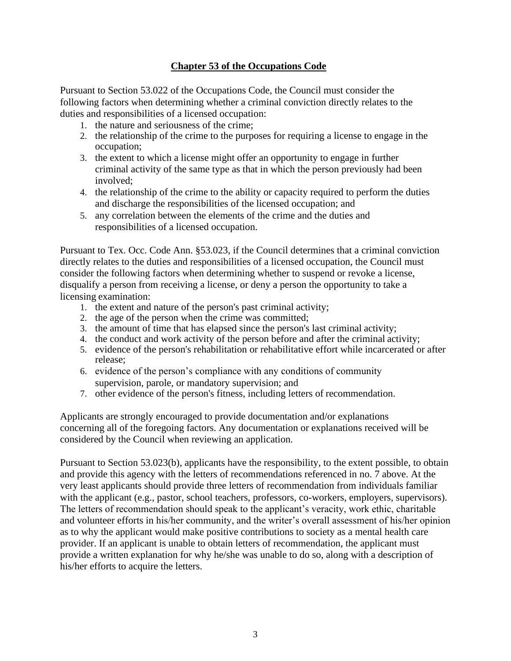## **Chapter 53 of the Occupations Code**

Pursuant to Section 53.022 of the Occupations Code, the Council must consider the following factors when determining whether a criminal conviction directly relates to the duties and responsibilities of a licensed occupation:

- 1. the nature and seriousness of the crime;
- 2. the relationship of the crime to the purposes for requiring a license to engage in the occupation;
- 3. the extent to which a license might offer an opportunity to engage in further criminal activity of the same type as that in which the person previously had been involved;
- 4. the relationship of the crime to the ability or capacity required to perform the duties and discharge the responsibilities of the licensed occupation; and
- 5. any correlation between the elements of the crime and the duties and responsibilities of a licensed occupation.

Pursuant to Tex. Occ. Code Ann. §53.023, if the Council determines that a criminal conviction directly relates to the duties and responsibilities of a licensed occupation, the Council must consider the following factors when determining whether to suspend or revoke a license, disqualify a person from receiving a license, or deny a person the opportunity to take a licensing examination:

- 1. the extent and nature of the person's past criminal activity;
- 2. the age of the person when the crime was committed;
- 3. the amount of time that has elapsed since the person's last criminal activity;
- 4. the conduct and work activity of the person before and after the criminal activity;
- 5. evidence of the person's rehabilitation or rehabilitative effort while incarcerated or after release;
- 6. evidence of the person's compliance with any conditions of community supervision, parole, or mandatory supervision; and
- 7. other evidence of the person's fitness, including letters of recommendation.

Applicants are strongly encouraged to provide documentation and/or explanations concerning all of the foregoing factors. Any documentation or explanations received will be considered by the Council when reviewing an application.

Pursuant to Section 53.023(b), applicants have the responsibility, to the extent possible, to obtain and provide this agency with the letters of recommendations referenced in no. 7 above. At the very least applicants should provide three letters of recommendation from individuals familiar with the applicant (e.g., pastor, school teachers, professors, co-workers, employers, supervisors). The letters of recommendation should speak to the applicant's veracity, work ethic, charitable and volunteer efforts in his/her community, and the writer's overall assessment of his/her opinion as to why the applicant would make positive contributions to society as a mental health care provider. If an applicant is unable to obtain letters of recommendation, the applicant must provide a written explanation for why he/she was unable to do so, along with a description of his/her efforts to acquire the letters.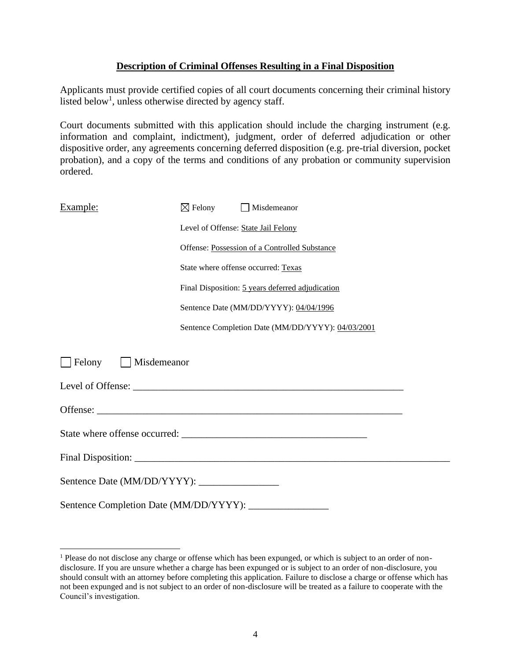#### **Description of Criminal Offenses Resulting in a Final Disposition**

Applicants must provide certified copies of all court documents concerning their criminal history listed below<sup>1</sup>, unless otherwise directed by agency staff.

Court documents submitted with this application should include the charging instrument (e.g. information and complaint, indictment), judgment, order of deferred adjudication or other dispositive order, any agreements concerning deferred disposition (e.g. pre-trial diversion, pocket probation), and a copy of the terms and conditions of any probation or community supervision ordered.

| Example:                               | $\boxtimes$ Felony | $\Box$ Misdemeanor                                |
|----------------------------------------|--------------------|---------------------------------------------------|
|                                        |                    | Level of Offense: State Jail Felony               |
|                                        |                    | Offense: Possession of a Controlled Substance     |
|                                        |                    | State where offense occurred: Texas               |
|                                        |                    | Final Disposition: 5 years deferred adjudication  |
|                                        |                    | Sentence Date (MM/DD/YYYY): 04/04/1996            |
|                                        |                    | Sentence Completion Date (MM/DD/YYYY): 04/03/2001 |
| Felony<br>  Misdemeanor                |                    |                                                   |
|                                        |                    |                                                   |
|                                        |                    |                                                   |
|                                        |                    |                                                   |
|                                        |                    |                                                   |
|                                        |                    |                                                   |
| Sentence Completion Date (MM/DD/YYYY): |                    |                                                   |

<sup>&</sup>lt;sup>1</sup> Please do not disclose any charge or offense which has been expunged, or which is subject to an order of nondisclosure. If you are unsure whether a charge has been expunged or is subject to an order of non-disclosure, you should consult with an attorney before completing this application. Failure to disclose a charge or offense which has not been expunged and is not subject to an order of non-disclosure will be treated as a failure to cooperate with the Council's investigation.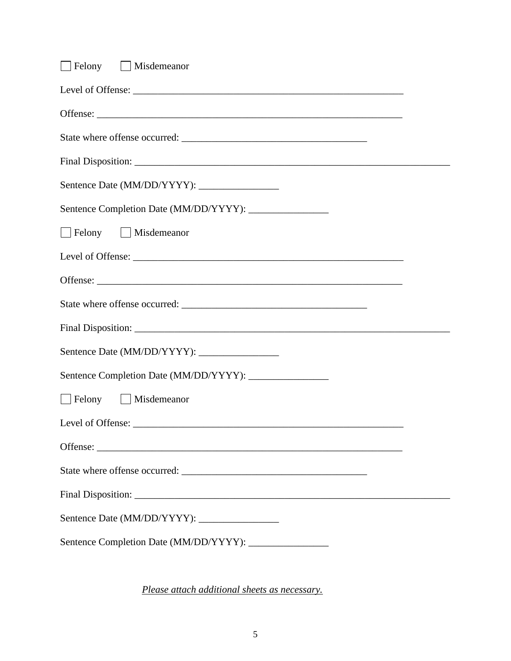| Sentence Completion Date (MM/DD/YYYY): ________________<br>Felony Misdemeanor<br>Felony Misdemeanor | Felony Misdemeanor |
|-----------------------------------------------------------------------------------------------------|--------------------|
|                                                                                                     |                    |
|                                                                                                     |                    |
|                                                                                                     |                    |
|                                                                                                     |                    |
|                                                                                                     |                    |
|                                                                                                     |                    |
|                                                                                                     |                    |
|                                                                                                     |                    |
|                                                                                                     |                    |
|                                                                                                     |                    |
|                                                                                                     |                    |
|                                                                                                     |                    |
|                                                                                                     |                    |
|                                                                                                     |                    |
|                                                                                                     |                    |
|                                                                                                     |                    |
|                                                                                                     |                    |
|                                                                                                     |                    |
|                                                                                                     |                    |
|                                                                                                     |                    |

*Please attach additional sheets as necessary.*